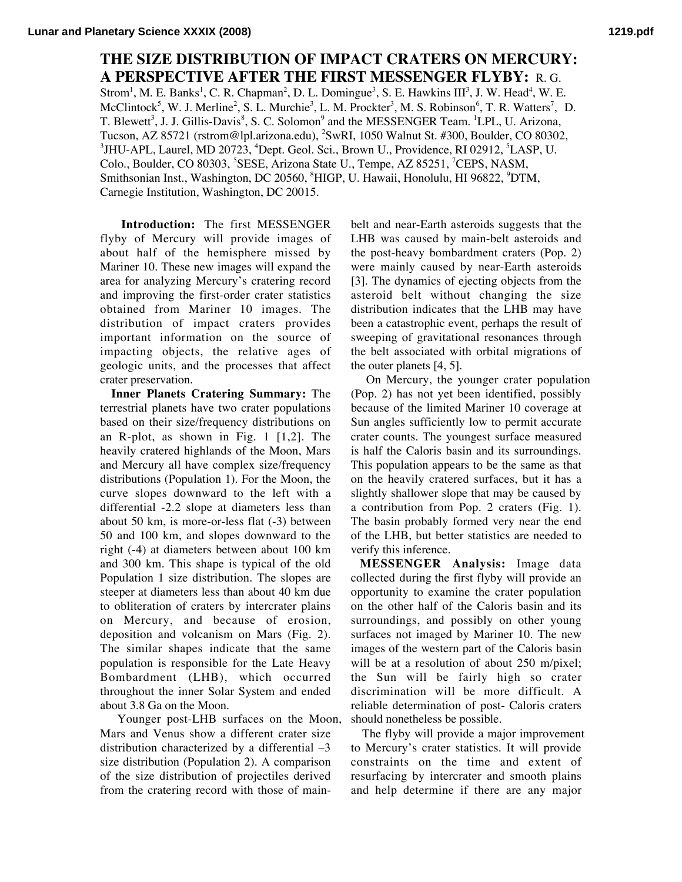## **THE SIZE DISTRIBUTION OF IMPACT CRATERS ON MERCURY: A PERSPECTIVE AFTER THE FIRST MESSENGER FLYBY:** R. G.

Strom<sup>1</sup>, M. E. Banks<sup>1</sup>, C. R. Chapman<sup>2</sup>, D. L. Domingue<sup>3</sup>, S. E. Hawkins III<sup>3</sup>, J. W. Head<sup>4</sup>, W. E. McClintock<sup>5</sup>, W. J. Merline<sup>2</sup>, S. L. Murchie<sup>3</sup>, L. M. Prockter<sup>3</sup>, M. S. Robinson<sup>6</sup>, T. R. Watters<sup>7</sup>, D. T. Blewett<sup>3</sup>, J. J. Gillis-Davis<sup>8</sup>, S. C. Solomon<sup>9</sup> and the MESSENGER Team. <sup>1</sup>LPL, U. Arizona, Tucson, AZ 85721 (rstrom@lpl.arizona.edu), <sup>2</sup> SwRI, 1050 Walnut St. #300, Boulder, CO 80302,  $^3$ JHU-APL, Laurel, MD 20723,  $^4$ Dept. Geol. Sci., Brown U., Providence, RI 02912,  $^5$ LASP, U. Colo., Boulder, CO 80303, <sup>5</sup>SESE, Arizona State U., Tempe, AZ 85251, <sup>7</sup>CEPS, NASM, Smithsonian Inst., Washington, DC 20560, <sup>8</sup>HIGP, U. Hawaii, Honolulu, HI 96822, <sup>9</sup>DTM, Carnegie Institution, Washington, DC 20015.

 **Introduction:** The first MESSENGER flyby of Mercury will provide images of about half of the hemisphere missed by Mariner 10. These new images will expand the area for analyzing Mercury's cratering record and improving the first-order crater statistics obtained from Mariner 10 images. The distribution of impact craters provides important information on the source of impacting objects, the relative ages of geologic units, and the processes that affect crater preservation.

 **Inner Planets Cratering Summary:** The terrestrial planets have two crater populations based on their size/frequency distributions on an R-plot, as shown in Fig. 1 [1,2]. The heavily cratered highlands of the Moon, Mars and Mercury all have complex size/frequency distributions (Population 1). For the Moon, the curve slopes downward to the left with a differential -2.2 slope at diameters less than about 50 km, is more-or-less flat (-3) between 50 and 100 km, and slopes downward to the right (-4) at diameters between about 100 km and 300 km. This shape is typical of the old Population 1 size distribution. The slopes are steeper at diameters less than about 40 km due to obliteration of craters by intercrater plains on Mercury, and because of erosion, deposition and volcanism on Mars (Fig. 2). The similar shapes indicate that the same population is responsible for the Late Heavy Bombardment (LHB), which occurred throughout the inner Solar System and ended about 3.8 Ga on the Moon.

 Younger post-LHB surfaces on the Moon, Mars and Venus show a different crater size distribution characterized by a differential –3 size distribution (Population 2). A comparison of the size distribution of projectiles derived from the cratering record with those of mainbelt and near-Earth asteroids suggests that the LHB was caused by main-belt asteroids and the post-heavy bombardment craters (Pop. 2) were mainly caused by near-Earth asteroids [3]. The dynamics of ejecting objects from the asteroid belt without changing the size distribution indicates that the LHB may have been a catastrophic event, perhaps the result of sweeping of gravitational resonances through the belt associated with orbital migrations of the outer planets [4, 5].

 On Mercury, the younger crater population (Pop. 2) has not yet been identified, possibly because of the limited Mariner 10 coverage at Sun angles sufficiently low to permit accurate crater counts. The youngest surface measured is half the Caloris basin and its surroundings. This population appears to be the same as that on the heavily cratered surfaces, but it has a slightly shallower slope that may be caused by a contribution from Pop. 2 craters (Fig. 1). The basin probably formed very near the end of the LHB, but better statistics are needed to verify this inference.

 **MESSENGER Analysis:** Image data collected during the first flyby will provide an opportunity to examine the crater population on the other half of the Caloris basin and its surroundings, and possibly on other young surfaces not imaged by Mariner 10. The new images of the western part of the Caloris basin will be at a resolution of about 250 m/pixel; the Sun will be fairly high so crater discrimination will be more difficult. A reliable determination of post- Caloris craters should nonetheless be possible.

 The flyby will provide a major improvement to Mercury's crater statistics. It will provide constraints on the time and extent of resurfacing by intercrater and smooth plains and help determine if there are any major